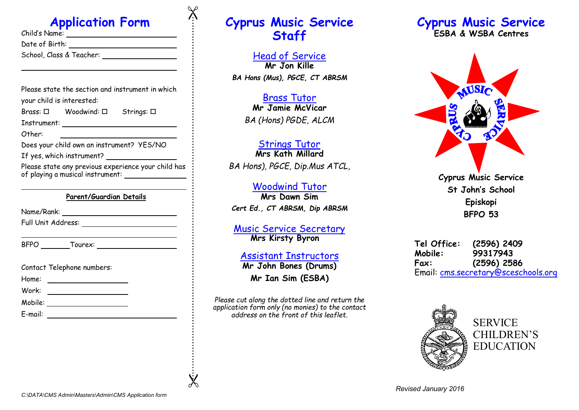# **Application Form**

| Child's Name:            |  |
|--------------------------|--|
| Date of Birth:           |  |
| School, Class & Teacher: |  |
|                          |  |

Please state the section and instrument in which your child is interested:

| Brass: □    | Woodwind: $\square$ | Strings: □ |  |
|-------------|---------------------|------------|--|
| Instrument: |                     |            |  |

Other:

Does your child own an instrument? YES/NO

If yes, which instrument?

Please state any previous experience your child has of playing a musical instrument:

#### **Parent/Guardian Details**

Name/Rank:

Full Unit Address:

BFPO Tourex:

|  |  | Contact Telephone numbers: |  |
|--|--|----------------------------|--|
|--|--|----------------------------|--|

Home:

Work: \_\_\_\_\_\_\_\_\_\_\_\_\_\_\_\_\_\_\_\_\_\_\_\_

Mobile:

E-mail:

# **Cyprus Music Service Staff**

Head of Service **Mr Jon Kille**  *BA Hons (Mus), PGCE, CT ABRSM*

#### Brass Tutor **Mr Jamie McVicar** *BA (Hons) PGDE, ALCM*

## Strings Tutor

**Mrs Kath Millard**  *BA Hons), PGCE, Dip.Mus ATCL*,

### Woodwind Tutor

**Mrs Dawn Sim** *Cert Ed., CT ABRSM, Dip ABRSM*

#### Music Service Secretary **Mrs Kirsty Byron**

#### Assistant Instructors **Mr John Bones (Drums)**

**Mr Ian Sim (ESBA)**

*Please cut along the dotted line and return the application form only (no monies) to the contact address on the front of this leaflet.* 

### **Cyprus Music Service ESBA & WSBA Centres**



**Cyprus Music Service St John's School Episkopi BFPO 53**

**Tel Office: (2596) 2409 Mobile: 99317943 Fax: (2596) 2586** Email: cms.secretary@sceschools.org



 $\chi$ 

 $\chi$